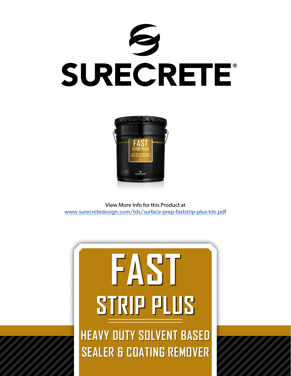



View More Info for this Product at [www.surecretedesign.com/tds/surface-prep-faststrip-plus-tds.pdf](https://www.surecretedesign.com/tds/surface-prep-faststrip-plus-tds.pdf)

# **HEAVY DUTY SOLVENT BASED SEALER & COATING REMOVER FAST STRIP PLUS**